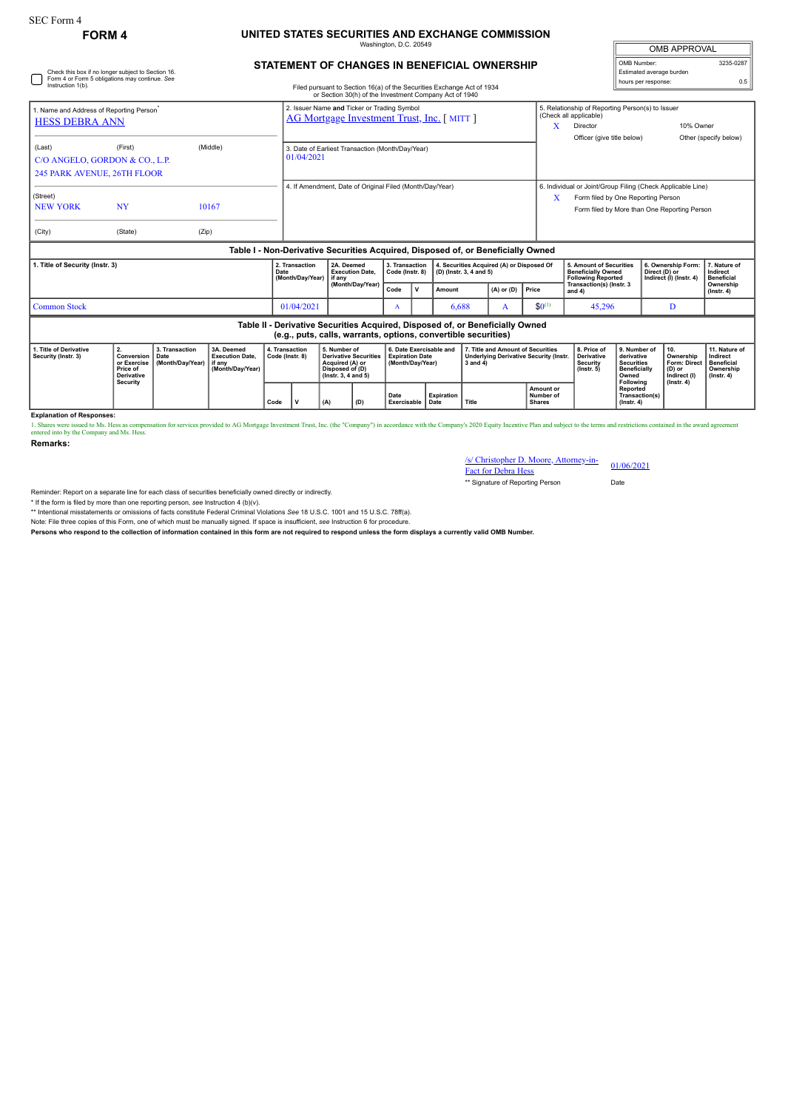## **FORM 4 UNITED STATES SECURITIES AND EXCHANGE COMMISSION** media.com<br>Ington, D.C. 20

**STATEMENT OF CHANGES IN BENEFICIAL OWNERSHIP**

| <b>OMB APPROVAL</b>                     |           |  |  |  |  |  |  |  |
|-----------------------------------------|-----------|--|--|--|--|--|--|--|
| OMB Number:<br>Estimated average burden | 3235-0287 |  |  |  |  |  |  |  |
| hours per response:                     | 0.5       |  |  |  |  |  |  |  |

| Check this box if no longer subject to Section 16.<br>Form 4 or Form 5 obligations may continue. See<br>Instruction 1(b).<br>Filed pursuant to Section 16(a) of the Securities Exchange Act of 1934<br>or Section 30(h) of the Investment Company Act of 1940 |                                                                                                                                                        |                                            |                                                                                  |                                   |                                                                                                 |                                                                                                           |                                                |                                                                       |                                           |                                                                                                     |                         |                                                                               |                                                                         | Estimated average burden<br>hours per response:                                                                                                   |  |                                                                   | 0.5                                                                             |                                               |  |
|---------------------------------------------------------------------------------------------------------------------------------------------------------------------------------------------------------------------------------------------------------------|--------------------------------------------------------------------------------------------------------------------------------------------------------|--------------------------------------------|----------------------------------------------------------------------------------|-----------------------------------|-------------------------------------------------------------------------------------------------|-----------------------------------------------------------------------------------------------------------|------------------------------------------------|-----------------------------------------------------------------------|-------------------------------------------|-----------------------------------------------------------------------------------------------------|-------------------------|-------------------------------------------------------------------------------|-------------------------------------------------------------------------|---------------------------------------------------------------------------------------------------------------------------------------------------|--|-------------------------------------------------------------------|---------------------------------------------------------------------------------|-----------------------------------------------|--|
| 1. Name and Address of Reporting Person<br><b>HESS DEBRA ANN</b>                                                                                                                                                                                              |                                                                                                                                                        |                                            |                                                                                  |                                   | 2. Issuer Name and Ticker or Trading Symbol<br><b>AG Mortgage Investment Trust, Inc.</b> [MITT] |                                                                                                           |                                                |                                                                       |                                           |                                                                                                     |                         |                                                                               |                                                                         | 5. Relationship of Reporting Person(s) to Issuer<br>(Check all applicable)<br>X<br>Director<br>Officer (give title below)                         |  |                                                                   |                                                                                 | 10% Owner<br>Other (specify below)            |  |
| (Last)                                                                                                                                                                                                                                                        | (Middle)<br>(First)<br>3. Date of Earliest Transaction (Month/Day/Year)<br>01/04/2021<br>C/O ANGELO, GORDON & CO., L.P.<br>245 PARK AVENUE, 26TH FLOOR |                                            |                                                                                  |                                   |                                                                                                 |                                                                                                           |                                                |                                                                       |                                           |                                                                                                     |                         |                                                                               |                                                                         |                                                                                                                                                   |  |                                                                   |                                                                                 |                                               |  |
| (Street)<br><b>NEW YORK</b><br>(City)                                                                                                                                                                                                                         | <b>NY</b><br>(State)                                                                                                                                   | (Zip)                                      | 10167                                                                            |                                   | 4. If Amendment, Date of Original Filed (Month/Day/Year)                                        |                                                                                                           |                                                |                                                                       |                                           |                                                                                                     |                         |                                                                               | X                                                                       | 6. Individual or Joint/Group Filing (Check Applicable Line)<br>Form filed by One Reporting Person<br>Form filed by More than One Reporting Person |  |                                                                   |                                                                                 |                                               |  |
|                                                                                                                                                                                                                                                               |                                                                                                                                                        |                                            | Table I - Non-Derivative Securities Acquired, Disposed of, or Beneficially Owned |                                   |                                                                                                 |                                                                                                           |                                                |                                                                       |                                           |                                                                                                     |                         |                                                                               |                                                                         |                                                                                                                                                   |  |                                                                   |                                                                                 |                                               |  |
| 1. Title of Security (Instr. 3)                                                                                                                                                                                                                               |                                                                                                                                                        |                                            |                                                                                  | Date                              | 2. Transaction<br>(Month/Day/Year)                                                              |                                                                                                           | 2A. Deemed<br><b>Execution Date.</b><br>if anv |                                                                       | 3. Transaction<br>Code (Instr. 8)         |                                                                                                     | (D) (Instr. 3, 4 and 5) | 4. Securities Acquired (A) or Disposed Of                                     |                                                                         | <b>5. Amount of Securities</b><br><b>Beneficially Owned</b><br><b>Following Reported</b>                                                          |  | 6. Ownership Form:<br>Direct (D) or<br>Indirect (I) (Instr. 4)    |                                                                                 | 7. Nature of<br>Indirect<br><b>Beneficial</b> |  |
|                                                                                                                                                                                                                                                               |                                                                                                                                                        |                                            |                                                                                  |                                   |                                                                                                 |                                                                                                           | (Month/Day/Year)                               |                                                                       | v                                         | Amount                                                                                              |                         | $(A)$ or $(D)$                                                                | <b>Price</b>                                                            | Transaction(s) (Instr. 3<br>and 4)                                                                                                                |  |                                                                   |                                                                                 | Ownership<br>$($ lnstr. 4 $)$                 |  |
| <b>Common Stock</b>                                                                                                                                                                                                                                           |                                                                                                                                                        |                                            |                                                                                  |                                   | 01/04/2021                                                                                      |                                                                                                           | A                                              |                                                                       | 6.688<br>A                                |                                                                                                     | $$0^{(1)}$$             | 45,296                                                                        |                                                                         | D                                                                                                                                                 |  |                                                                   |                                                                                 |                                               |  |
|                                                                                                                                                                                                                                                               |                                                                                                                                                        |                                            |                                                                                  |                                   |                                                                                                 | (e.g., puts, calls, warrants, options, convertible securities)                                            |                                                |                                                                       |                                           |                                                                                                     |                         | Table II - Derivative Securities Acquired, Disposed of, or Beneficially Owned |                                                                         |                                                                                                                                                   |  |                                                                   |                                                                                 |                                               |  |
| 1. Title of Derivative<br>Security (Instr. 3)                                                                                                                                                                                                                 | 2.<br>Conversion<br>or Exercise<br>Price of<br><b>Derivative</b><br><b>Security</b>                                                                    | 3. Transaction<br>Date<br>(Month/Day/Year) | 3A. Deemed<br><b>Execution Date.</b><br>if anv<br>(Month/Day/Year)               | 4. Transaction<br>Code (Instr. 8) |                                                                                                 | 5. Number of<br><b>Derivative Securities</b><br>Acquired (A) or<br>Disposed of (D)<br>(Instr. 3, 4 and 5) |                                                | 6. Date Exercisable and<br><b>Expiration Date</b><br>(Month/Dav/Year) |                                           | 7. Title and Amount of Securities<br><b>Underlying Derivative Security (Instr.</b><br>$3$ and $4$ ) |                         |                                                                               | 8. Price of<br><b>Derivative</b><br><b>Security</b><br>$($ lnstr. 5 $)$ | 9. Number of<br>derivative<br><b>Securities</b><br><b>Beneficially</b><br>Owned<br>Following                                                      |  | 10.<br>Ownership<br><b>Form: Direct</b><br>(D) or<br>Indirect (I) | 11. Nature of<br>Indirect<br><b>Beneficial</b><br>Ownership<br>$($ Instr. 4 $)$ |                                               |  |
|                                                                                                                                                                                                                                                               |                                                                                                                                                        |                                            |                                                                                  |                                   | $\mathsf{v}$<br>Code<br>(A)                                                                     |                                                                                                           | (D)                                            |                                                                       | Expiration<br>Date<br>Exercisable<br>Date |                                                                                                     | Title                   |                                                                               | Amount or<br>Number of<br><b>Shares</b>                                 |                                                                                                                                                   |  | Reported<br>Transaction(s)<br>$($ lnstr. 4 $)$                    | $($ lnstr. 4 $)$                                                                |                                               |  |

**Explanation of Responses:**

1. Shares were issued to Ms. Hess as compensation for services provided to AG Mortgage Investment Trust, Inc. (the "Company") in accordance with the Company's 2020 Equity Incentive Plan and subject to the terms and restric

**Remarks:**

## /s/ Christopher D. Moore, Attorney-in-Fact for Debra Hess 01/06/2021

\*\* Signature of Reporting Person Date

Reminder: Report on a separate line for each class of securities beneficially owned directly or indirectly.

\* If the form is filed by more than one reporting person, *see* Instruction 4 (b)(v).

\*\* Intentional misstatements or omissions of facts constitute Federal Criminal Violations *See* 18 U.S.C. 1001 and 15 U.S.C. 78ff(a).

Note: File three copies of this Form, one of which must be manually signed. If space is insufficient, *see* Instruction 6 for procedure.

**Persons who respond to the collection of information contained in this form are not required to respond unless the form displays a currently valid OMB Number.**